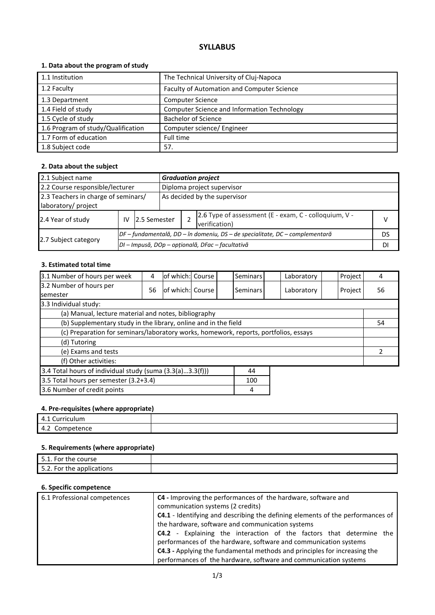# **SYLLABUS**

## **1. Data about the program of study**

| 1.1 Institution                    | The Technical University of Cluj-Napoca     |
|------------------------------------|---------------------------------------------|
| 1.2 Faculty                        | Faculty of Automation and Computer Science  |
| 1.3 Department                     | <b>Computer Science</b>                     |
| 1.4 Field of study                 | Computer Science and Information Technology |
| 1.5 Cycle of study                 | <b>Bachelor of Science</b>                  |
| 1.6 Program of study/Qualification | Computer science/ Engineer                  |
| 1.7 Form of education              | Full time                                   |
| 1.8 Subject code                   | 57.                                         |

### **2. Data about the subject**

| 2.1 Subject name                                           |                                                  | <b>Graduation project</b>                                                    |                            |    |                                                                        |    |  |
|------------------------------------------------------------|--------------------------------------------------|------------------------------------------------------------------------------|----------------------------|----|------------------------------------------------------------------------|----|--|
| 2.2 Course responsible/lecturer                            |                                                  |                                                                              | Diploma project supervisor |    |                                                                        |    |  |
| 2.3 Teachers in charge of seminars/<br>laboratory/ project |                                                  | As decided by the supervisor                                                 |                            |    |                                                                        |    |  |
| 2.4 Year of study                                          | IV                                               | 12.5 Semester                                                                |                            |    | 2.6 Type of assessment (E - exam, C - colloquium, V -<br>verification) | v  |  |
|                                                            |                                                  | DF – fundamentală, DD – în domeniu, DS – de specialitate, DC – complementară |                            |    |                                                                        | DS |  |
| 2.7 Subject category                                       | DI – Impusă, DOp – opțională, DFac – facultativă |                                                                              |                            | DI |                                                                        |    |  |

### **3. Estimated total time**

| 3.1 Number of hours per week                                                         | 4  | lof which:l Course |  | <b>Seminars</b> |  | Laboratory    | Project | 4  |
|--------------------------------------------------------------------------------------|----|--------------------|--|-----------------|--|---------------|---------|----|
| 3.2 Number of hours per<br>semester                                                  | 56 | of which: Course   |  | Seminars        |  | Laboratory    | Project | 56 |
| 3.3 Individual study:                                                                |    |                    |  |                 |  |               |         |    |
| (a) Manual, lecture material and notes, bibliography                                 |    |                    |  |                 |  |               |         |    |
| (b) Supplementary study in the library, online and in the field                      |    |                    |  |                 |  |               | 54      |    |
| (c) Preparation for seminars/laboratory works, homework, reports, portfolios, essays |    |                    |  |                 |  |               |         |    |
| (d) Tutoring                                                                         |    |                    |  |                 |  |               |         |    |
| (e) Exams and tests                                                                  |    |                    |  |                 |  | $\mathcal{P}$ |         |    |
| (f) Other activities:                                                                |    |                    |  |                 |  |               |         |    |
| 3.4 Total hours of individual study (suma (3.3(a)3.3(f)))<br>44                      |    |                    |  |                 |  |               |         |    |
| 3.5 Total hours per semester (3.2+3.4)<br>100                                        |    |                    |  |                 |  |               |         |    |
| 3.6 Number of credit points<br>4                                                     |    |                    |  |                 |  |               |         |    |

#### **4. Pre-requisites (where appropriate)**

| <b>IMMI</b> |  |
|-------------|--|
| <br>-       |  |

## **5. Requirements (where appropriate)**

| -<br>5.1. For<br>course<br>the        |  |
|---------------------------------------|--|
| .<br>the applications."<br>For<br>--- |  |

## **6. Specific competence**

| 6.1 Professional competences                                     | <b>C4</b> - Improving the performances of the hardware, software and                                                                      |  |  |
|------------------------------------------------------------------|-------------------------------------------------------------------------------------------------------------------------------------------|--|--|
|                                                                  | communication systems (2 credits)                                                                                                         |  |  |
|                                                                  | <b>C4.1</b> - Identifying and describing the defining elements of the performances of<br>the hardware, software and communication systems |  |  |
|                                                                  |                                                                                                                                           |  |  |
|                                                                  | <b>C4.2</b> - Explaining the interaction of the factors that determine the                                                                |  |  |
|                                                                  | performances of the hardware, software and communication systems                                                                          |  |  |
|                                                                  | C4.3 - Applying the fundamental methods and principles for increasing the                                                                 |  |  |
| performances of the hardware, software and communication systems |                                                                                                                                           |  |  |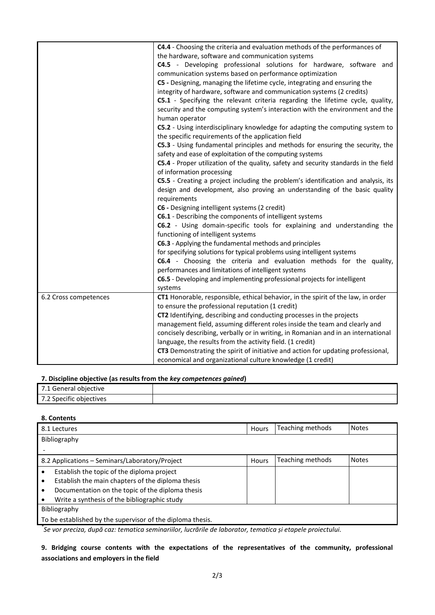|                       | C4.4 - Choosing the criteria and evaluation methods of the performances of<br>the hardware, software and communication systems |  |  |
|-----------------------|--------------------------------------------------------------------------------------------------------------------------------|--|--|
|                       | C4.5 - Developing professional solutions for hardware, software and                                                            |  |  |
|                       | communication systems based on performance optimization                                                                        |  |  |
|                       | C5 - Designing, managing the lifetime cycle, integrating and ensuring the                                                      |  |  |
|                       | integrity of hardware, software and communication systems (2 credits)                                                          |  |  |
|                       |                                                                                                                                |  |  |
|                       | C5.1 - Specifying the relevant criteria regarding the lifetime cycle, quality,                                                 |  |  |
|                       | security and the computing system's interaction with the environment and the<br>human operator                                 |  |  |
|                       | C5.2 - Using interdisciplinary knowledge for adapting the computing system to                                                  |  |  |
|                       | the specific requirements of the application field                                                                             |  |  |
|                       | C5.3 - Using fundamental principles and methods for ensuring the security, the                                                 |  |  |
|                       | safety and ease of exploitation of the computing systems                                                                       |  |  |
|                       | C5.4 - Proper utilization of the quality, safety and security standards in the field                                           |  |  |
|                       | of information processing                                                                                                      |  |  |
|                       | C5.5 - Creating a project including the problem's identification and analysis, its                                             |  |  |
|                       | design and development, also proving an understanding of the basic quality                                                     |  |  |
|                       | requirements                                                                                                                   |  |  |
|                       | C6 - Designing intelligent systems (2 credit)                                                                                  |  |  |
|                       | C6.1 - Describing the components of intelligent systems                                                                        |  |  |
|                       | C6.2 - Using domain-specific tools for explaining and understanding the                                                        |  |  |
|                       | functioning of intelligent systems                                                                                             |  |  |
|                       | C6.3 - Applying the fundamental methods and principles                                                                         |  |  |
|                       | for specifying solutions for typical problems using intelligent systems                                                        |  |  |
|                       | C6.4 - Choosing the criteria and evaluation methods for the quality,                                                           |  |  |
|                       | performances and limitations of intelligent systems                                                                            |  |  |
|                       | C6.5 - Developing and implementing professional projects for intelligent                                                       |  |  |
|                       | systems                                                                                                                        |  |  |
| 6.2 Cross competences | CT1 Honorable, responsible, ethical behavior, in the spirit of the law, in order                                               |  |  |
|                       | to ensure the professional reputation (1 credit)                                                                               |  |  |
|                       | CT2 Identifying, describing and conducting processes in the projects                                                           |  |  |
|                       | management field, assuming different roles inside the team and clearly and                                                     |  |  |
|                       | concisely describing, verbally or in writing, in Romanian and in an international                                              |  |  |
|                       | language, the results from the activity field. (1 credit)                                                                      |  |  |
|                       | CT3 Demonstrating the spirit of initiative and action for updating professional,                                               |  |  |
|                       | economical and organizational culture knowledge (1 credit)                                                                     |  |  |

#### **7. Discipline objective (as results from the** *key competences gained***)**

| 7.1 General objective   |  |  |  |  |  |  |
|-------------------------|--|--|--|--|--|--|
| 7.2 Specific objectives |  |  |  |  |  |  |

## **8. Contents**

| <b>Notes</b> |
|--------------|
|              |
|              |
| <b>Notes</b> |
|              |
|              |
|              |
|              |
|              |
|              |
|              |

*\* Se vor preciza, după caz: tematica seminariilor, lucrările de laborator, tematica și etapele proiectului.*

**9. Bridging course contents with the expectations of the representatives of the community, professional associations and employers in the field**